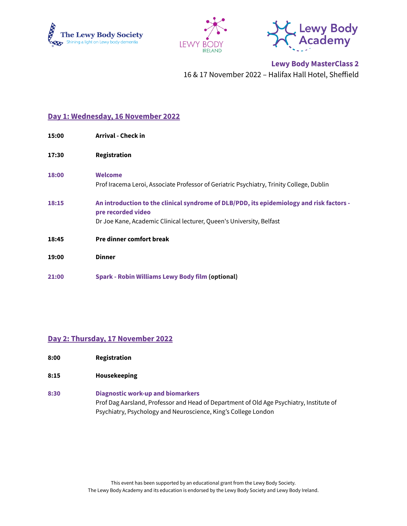





**Lewy Body MasterClass 2** 16 & 17 November 2022 – Halifax Hall Hotel, Sheffield

## **Day 1: Wednesday, 16 November 2022**

| 15:00 | <b>Arrival - Check in</b>                                                                                                                                                              |
|-------|----------------------------------------------------------------------------------------------------------------------------------------------------------------------------------------|
| 17:30 | Registration                                                                                                                                                                           |
| 18:00 | <b>Welcome</b><br>Prof Iracema Leroi, Associate Professor of Geriatric Psychiatry, Trinity College, Dublin                                                                             |
| 18:15 | An introduction to the clinical syndrome of DLB/PDD, its epidemiology and risk factors -<br>pre recorded video<br>Dr Joe Kane, Academic Clinical lecturer, Queen's University, Belfast |
| 18:45 | <b>Pre dinner comfort break</b>                                                                                                                                                        |
| 19:00 | <b>Dinner</b>                                                                                                                                                                          |
| 21:00 | <b>Spark - Robin Williams Lewy Body film (optional)</b>                                                                                                                                |

## **Day 2: Thursday, 17 November 2022**

- **8:00 Registration**
- **8:15 Housekeeping**
- **8:30 Diagnostic work-up and biomarkers** Prof Dag Aarsland, Professor and Head of Department of Old Age Psychiatry, Institute of Psychiatry, Psychology and Neuroscience, King's College London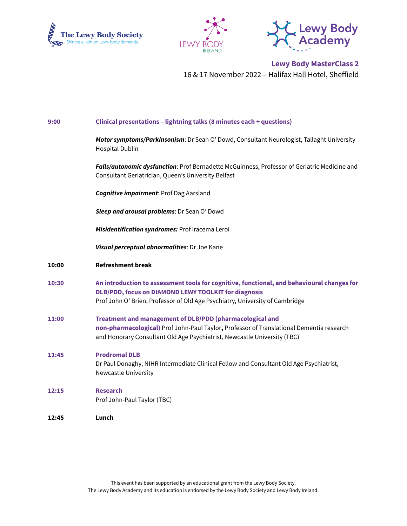





**Lewy Body MasterClass 2** 16 & 17 November 2022 – Halifax Hall Hotel, Sheffield

| 9:00  | Clinical presentations - lightning talks (8 minutes each + questions)                                                                                                                                                              |
|-------|------------------------------------------------------------------------------------------------------------------------------------------------------------------------------------------------------------------------------------|
|       | Motor symptoms/Parkinsonism: Dr Sean O' Dowd, Consultant Neurologist, Tallaght University<br><b>Hospital Dublin</b>                                                                                                                |
|       | Falls/autonomic dysfunction: Prof Bernadette McGuinness, Professor of Geriatric Medicine and<br>Consultant Geriatrician, Queen's University Belfast                                                                                |
|       | <b>Cognitive impairment: Prof Dag Aarsland</b>                                                                                                                                                                                     |
|       | Sleep and arousal problems: Dr Sean O' Dowd                                                                                                                                                                                        |
|       | Misidentification syndromes: Prof Iracema Leroi                                                                                                                                                                                    |
|       | Visual perceptual abnormalities: Dr Joe Kane                                                                                                                                                                                       |
| 10:00 | <b>Refreshment break</b>                                                                                                                                                                                                           |
| 10:30 | An introduction to assessment tools for cognitive, functional, and behavioural changes for<br>DLB/PDD, focus on DIAMOND LEWY TOOLKIT for diagnosis<br>Prof John O' Brien, Professor of Old Age Psychiatry, University of Cambridge |
| 11:00 | Treatment and management of DLB/PDD (pharmacological and<br>non-pharmacological) Prof John-Paul Taylor, Professor of Translational Dementia research<br>and Honorary Consultant Old Age Psychiatrist, Newcastle University (TBC)   |
| 11:45 | <b>Prodromal DLB</b><br>Dr Paul Donaghy, NIHR Intermediate Clinical Fellow and Consultant Old Age Psychiatrist,<br>Newcastle University                                                                                            |
| 12:15 | <b>Research</b><br>Prof John-Paul Taylor (TBC)                                                                                                                                                                                     |
| 12:45 | Lunch                                                                                                                                                                                                                              |